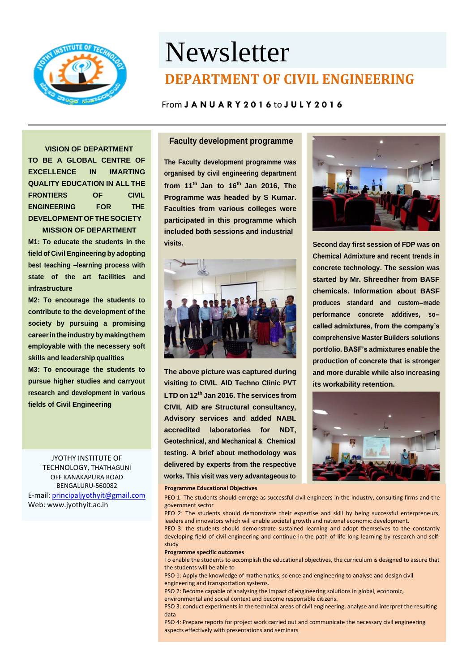

# Newsletter **DEPARTMENT OF CIVIL ENGINEERING**

## From **J A N U A R Y 2 0 1 6** to **J U L Y 2 0 1 6**

**VISION OF DEPARTMENT TO BE A GLOBAL CENTRE OF EXCELLENCE IN IMARTING QUALITY EDUCATION IN ALL THE FRONTIERS OF CIVIL ENGINEERING FOR THE DEVELOPMENTOFTHESOCIETY**

**MISSION OF DEPARTMENT M1: To educate the students in the field of Civil Engineering by adopting best teaching –learning process with state of the art facilities and infrastructure**

**M2: To encourage the students to contribute to the development of the society by pursuing a promising careerintheindustrybymakingthem employable with the necessery soft skills and leadership qualities**

**M3: To encourage the students to pursue higher studies and carryout research and development in various fields of Civil Engineering**

> JYOTHY INSTITUTE OF TECHNOLOGY, THATHAGUNI OFF KANAKAPURA ROAD BENGALURU-560082

E-mail[: principaljyothyit@gmail.com](mailto:principaljyothyit@gmail.com) Web: [www.jyothyit.ac.in](http://www.jyothyit.ac.in/)

## **Faculty development programme**

**The Faculty development programme was organised by civil engineering department from 11th Jan to 16th Jan 2016, The Programme was headed by S Kumar. Faculties from various colleges were participated in this programme which included both sessions and industrial visits.**



**The above picture was captured during visiting to CIVIL\_AID Techno Clinic PVT LTD on 12th Jan 2016. The services from CIVIL AID are Structural consultancy, Advisory services and added NABL accredited laboratories for NDT, Geotechnical, and Mechanical & Chemical testing. A brief about methodology was delivered by experts from the respective works. This visit was very advantageous to**



**Second day first session of FDP was on Chemical Admixture and recent trends in concrete technology. The session was started by Mr. Shreedher from BASF chemicals. Information about BASF produces standard and custom-made performance concrete additives, socalled admixtures, from the company's comprehensive Master Builders solutions portfolio. BASF's admixtures enable the production of concrete that is stronger and more durable while also increasing its workability retention.**



#### **Programme Educational Objectives**

PEO 1: The students should emerge as successful civil engineers in the industry, consulting firms and the government sector

PEO 2: The students should demonstrate their expertise and skill by being successful enterpreneurs, leaders and innovators which will enable societal growth and national economic development.

PEO 3: the students should demonstrate sustained learning and adopt themselves to the constantly developing field of civil engineering and continue in the path of life-long learning by research and selfstudy

#### **Programme specific outcomes**

To enable the students to accomplish the educational objectives, the curriculum is designed to assure that the students will be able to

PSO 1: Apply the knowledge of mathematics, science and engineering to analyse and design civil engineering and transportation systems.

PSO 2: Become capable of analysing the impact of engineering solutions in global, economic, environmental and social context and become responsible citizens.

PSO 3: conduct experiments in the technical areas of civil engineering, analyse and interpret the resulting data

PSO 4: Prepare reports for project work carried out and communicate the necessary civil engineering aspects effectively with presentations and seminars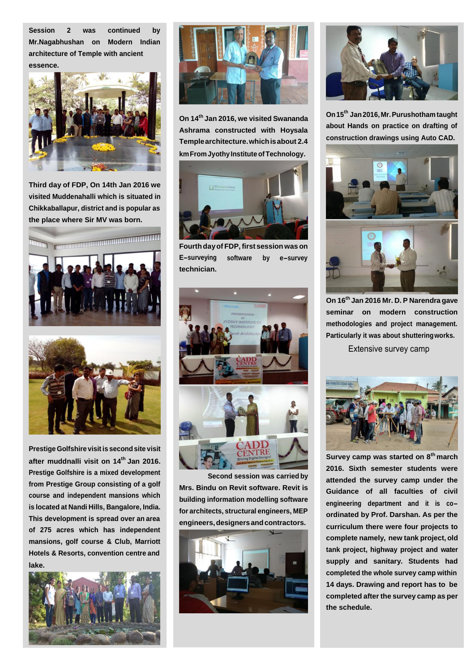**Session 2 was continued by Mr.Nagabhushan on Modern Indian architecture of Temple with ancient essence.**



**Third day of FDP, On 14th Jan 2016 we visited Muddenahalli which is situated in Chikkaballapur, district and is popular as the place where Sir MV was born.**





**Prestige Golfshire visitis secondsite visit after muddnalli visit on 14th Jan 2016. Prestige Golfshire is a mixed development from Prestige Group consisting of a golf course and independent mansions which is located at Nandi Hills, Bangalore, India. This development is spread over an area of 275 acres which has independent mansions, golf course & Club, Marriott Hotels & Resorts, convention centre and lake.**





**On 14th Jan 2016, we visited Swananda Ashrama constructed with Hoysala Templearchitecture.whichisabout 2.4 km From Jyothy Institute of Technology.** 



**Fourthdayof FDP,first sessionwas on E-surveying technician. software by e-survey**



**Second session was carried by Mrs. Bindu on Revit software. Revit is building information modelling software for architects, structural engineers, MEP engineers,designersandcontractors.**





**On15th Jan2016,Mr.Purushothamtaught about Hands on practice on drafting of construction drawings using Auto CAD.**



**On 16th Jan 2016 Mr. D. P Narendra gave seminar on modern construction methodologies and project management. Particularly it was about shutteringworks.**

Extensive survey camp



**Survey camp was started on 8th march 2016. Sixth semester students were attended the survey camp under the Guidance of all faculties of civil engineering department and it is coordinated by Prof. Darshan. As per the curriculum there were four projects to complete namely, new tank project, old tank project, highway project and water supply and sanitary. Students had completed the whole survey camp within 14 days. Drawing and report has to be completed after the survey camp as per the schedule.**